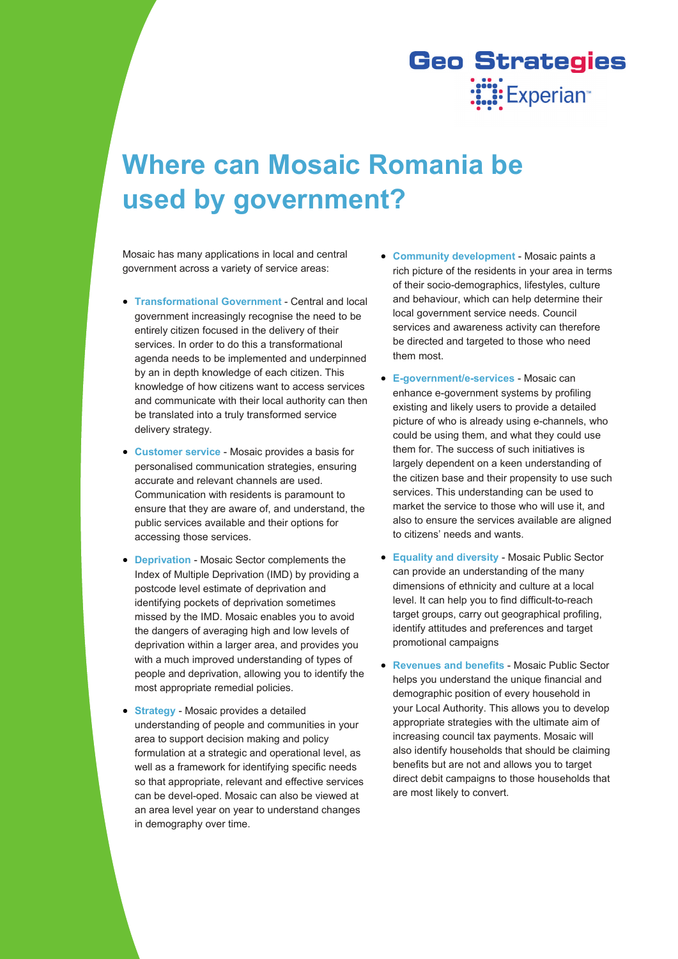## **Geo Strategies WEXPERIENT**

## **Where can Mosaic Romania be used by government?**

Mosaic has many applications in local and central government across a variety of service areas:

- **Transformational Government Central and local** government increasingly recognise the need to be entirely citizen focused in the delivery of their services. In order to do this a transformational agenda needs to be implemented and underpinned by an in depth knowledge of each citizen. This knowledge of how citizens want to access services and communicate with their local authority can then be translated into a truly transformed service delivery strategy.
- **Customer service**  Mosaic provides a basis for personalised communication strategies, ensuring accurate and relevant channels are used. Communication with residents is paramount to ensure that they are aware of, and understand, the public services available and their options for accessing those services.
- **Deprivation** Mosaic Sector complements the Index of Multiple Deprivation (IMD) by providing a postcode level estimate of deprivation and identifying pockets of deprivation sometimes missed by the IMD. Mosaic enables you to avoid the dangers of averaging high and low levels of deprivation within a larger area, and provides you with a much improved understanding of types of people and deprivation, allowing you to identify the most appropriate remedial policies.
- **Strategy** Mosaic provides a detailed understanding of people and communities in your area to support decision making and policy formulation at a strategic and operational level, as well as a framework for identifying specific needs so that appropriate, relevant and effective services can be devel-oped. Mosaic can also be viewed at an area level year on year to understand changes in demography over time.
- **Community development**  Mosaic paints a rich picture of the residents in your area in terms of their socio-demographics, lifestyles, culture and behaviour, which can help determine their local government service needs. Council services and awareness activity can therefore be directed and targeted to those who need them most.
- **E-government/e-services**  Mosaic can enhance e-government systems by profiling existing and likely users to provide a detailed picture of who is already using e-channels, who could be using them, and what they could use them for. The success of such initiatives is largely dependent on a keen understanding of the citizen base and their propensity to use such services. This understanding can be used to market the service to those who will use it, and also to ensure the services available are aligned to citizens' needs and wants.
- **Equality and diversity**  Mosaic Public Sector can provide an understanding of the many dimensions of ethnicity and culture at a local level. It can help you to find difficult-to-reach target groups, carry out geographical profiling, identify attitudes and preferences and target promotional campaigns
- **Revenues and benefits**  Mosaic Public Sector helps you understand the unique financial and demographic position of every household in your Local Authority. This allows you to develop appropriate strategies with the ultimate aim of increasing council tax payments. Mosaic will also identify households that should be claiming benefits but are not and allows you to target direct debit campaigns to those households that are most likely to convert.